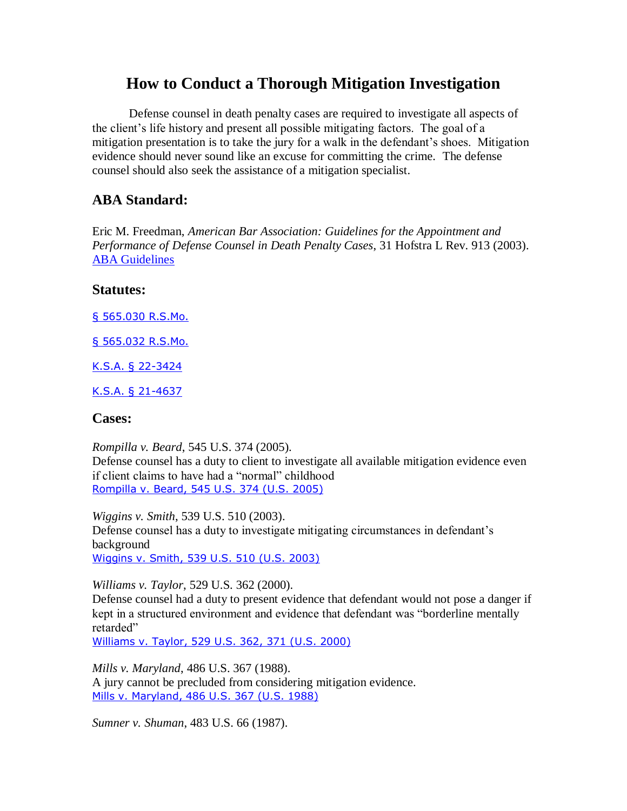# **How to Conduct a Thorough Mitigation Investigation**

Defense counsel in death penalty cases are required to investigate all aspects of the client's life history and present all possible mitigating factors. The goal of a mitigation presentation is to take the jury for a walk in the defendant's shoes. Mitigation evidence should never sound like an excuse for committing the crime. The defense counsel should also seek the assistance of a mitigation specialist.

### **ABA Standard:**

Eric M. Freedman, *American Bar Association: Guidelines for the Appointment and Performance of Defense Counsel in Death Penalty Cases*, 31 Hofstra L Rev. 913 (2003). [ABA Guidelines](http://www.abanet.org/legalservices/downloads/sclaid/deathpenaltyguidelines2003.pdf)

#### **Statutes:**

[§ 565.030 R.S.Mo.](http://www.lexis.com/research/xlink?app=00075&view=full&searchtype=get&search=%A7+565.030+R.S.Mo.)

[§ 565.032 R.S.Mo.](http://www.lexis.com/research/xlink?app=00075&view=full&searchtype=get&search=%A7+565.032+R.S.Mo.)

[K.S.A. § 22-3424](http://www.lexis.com/research/xlink?app=00075&view=full&searchtype=get&search=K.S.A.+%A7+22-3424)

[K.S.A. § 21-4637](http://www.lexis.com/research/xlink?app=00075&view=full&searchtype=get&search=K.S.A.+%A7+21-4637)

#### **Cases:**

*Rompilla v. Beard*, 545 U.S. 374 (2005). Defense counsel has a duty to client to investigate all available mitigation evidence even if client claims to have had a "normal" childhood [Rompilla v. Beard, 545 U.S. 374 \(U.S. 2005\)](http://www.lexis.com/research/xlink?app=00075&view=full&searchtype=get&search=545+U.S.+374)

*Wiggins v. Smith*, 539 U.S. 510 (2003). Defense counsel has a duty to investigate mitigating circumstances in defendant's background [Wiggins v. Smith, 539 U.S. 510 \(U.S. 2003\)](http://www.lexis.com/research/xlink?app=00075&view=full&searchtype=get&search=539+U.S.+510)

*Williams v. Taylor*, 529 U.S. 362 (2000).

Defense counsel had a duty to present evidence that defendant would not pose a danger if kept in a structured environment and evidence that defendant was "borderline mentally retarded"

[Williams v. Taylor, 529 U.S. 362, 371 \(U.S. 2000\)](http://www.lexis.com/research/xlink?app=00075&view=full&searchtype=get&search=529+U.S.+371)

*Mills v. Maryland*, 486 U.S. 367 (1988). A jury cannot be precluded from considering mitigation evidence. [Mills v. Maryland, 486 U.S. 367 \(U.S. 1988\)](http://www.lexis.com/research/xlink?app=00075&view=full&searchtype=get&search=486+U.S.+367)

*Sumner v. Shuman*, 483 U.S. 66 (1987).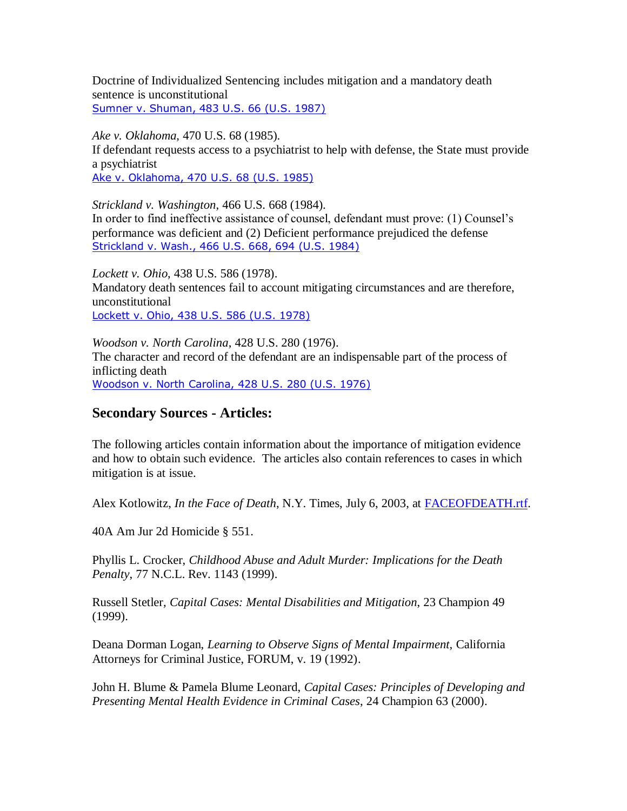Doctrine of Individualized Sentencing includes mitigation and a mandatory death sentence is unconstitutional [Sumner v. Shuman, 483 U.S. 66 \(U.S. 1987\)](http://www.lexis.com/research/xlink?app=00075&view=full&searchtype=get&search=483+U.S.+66)

*Ake v. Oklahoma*, 470 U.S. 68 (1985).

If defendant requests access to a psychiatrist to help with defense, the State must provide a psychiatrist

[Ake v. Oklahoma, 470 U.S. 68 \(U.S. 1985\)](http://www.lexis.com/research/xlink?app=00075&view=full&searchtype=get&search=470+U.S.+68)

*Strickland v. Washington*, 466 U.S. 668 (1984).

In order to find ineffective assistance of counsel, defendant must prove: (1) Counsel's performance was deficient and (2) Deficient performance prejudiced the defense [Strickland v. Wash., 466 U.S.](http://www.lexis.com/research/xlink?app=00075&view=full&searchtype=get&search=466+U.S.+694) 668, 694 (U.S. 1984)

*Lockett v. Ohio*, 438 U.S. 586 (1978). Mandatory death sentences fail to account mitigating circumstances and are therefore, unconstitutional [Lockett v. Ohio, 438 U.S. 586 \(U.S. 1978\)](http://www.lexis.com/research/xlink?app=00075&view=full&searchtype=get&search=438+U.S.+586)

*Woodson v. North Carolina*, 428 U.S. 280 (1976). The character and record of the defendant are an indispensable part of the process of inflicting death [Woodson v. North Carolina, 428 U.S. 280 \(U.S. 1976\)](http://www.lexis.com/research/xlink?app=00075&view=full&searchtype=get&search=428+U.S.+280)

# **Secondary Sources - Articles:**

The following articles contain information about the importance of mitigation evidence and how to obtain such evidence. The articles also contain references to cases in which mitigation is at issue.

Alex Kotlowitz, *In the Face of Death*, N.Y. Times, July 6, 2003, at [FACEOFDEATH.rtf.](file:///C:\Documents%20and%20Settings\Matt\PILC\FACEOFDEATH.rtf)

40A Am Jur 2d Homicide § 551.

Phyllis L. Crocker, *Childhood Abuse and Adult Murder: Implications for the Death Penalty*, 77 N.C.L. Rev. 1143 (1999).

Russell Stetler, *Capital Cases: Mental Disabilities and Mitigation*, 23 Champion 49 (1999).

Deana Dorman Logan, *Learning to Observe Signs of Mental Impairment,* California Attorneys for Criminal Justice, FORUM, v. 19 (1992).

John H. Blume & Pamela Blume Leonard, *Capital Cases: Principles of Developing and Presenting Mental Health Evidence in Criminal Cases*, 24 Champion 63 (2000).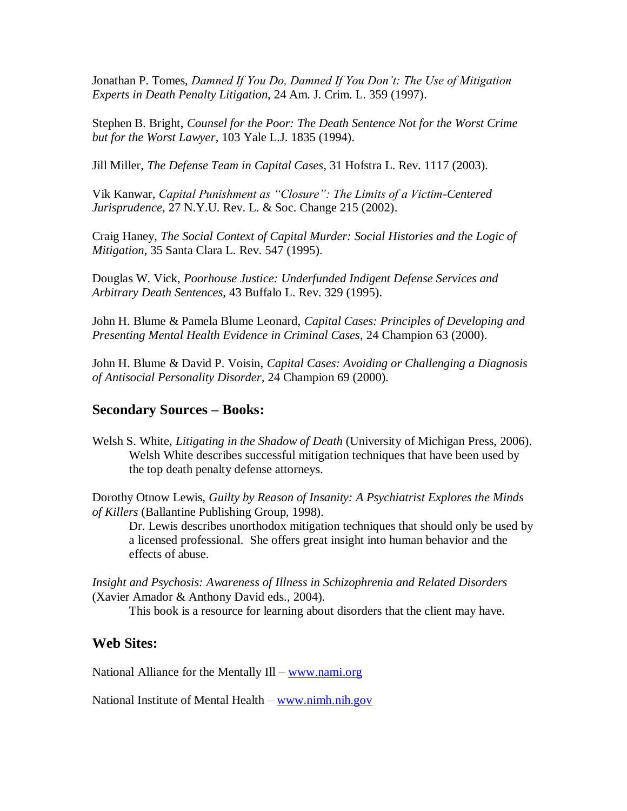Jonathan P. Tomes, *Damned If You Do, Damned If You Don't: The Use of Mitigation Experts in Death Penalty Litigation*, 24 Am. J. Crim. L. 359 (1997).

Stephen B. Bright, *Counsel for the Poor: The Death Sentence Not for the Worst Crime but for the Worst Lawyer*, 103 Yale L.J. 1835 (1994).

Jill Miller, *The Defense Team in Capital Cases*, 31 Hofstra L. Rev. 1117 (2003).

Vik Kanwar, *Capital Punishment as "Closure": The Limits of a Victim-Centered Jurisprudence*, 27 N.Y.U. Rev. L. & Soc. Change 215 (2002).

Craig Haney, *The Social Context of Capital Murder: Social Histories and the Logic of Mitigation*, 35 Santa Clara L. Rev. 547 (1995).

Douglas W. Vick, *Poorhouse Justice: Underfunded Indigent Defense Services and Arbitrary Death Sentences*, 43 Buffalo L. Rev. 329 (1995).

John H. Blume & Pamela Blume Leonard, *Capital Cases: Principles of Developing and Presenting Mental Health Evidence in Criminal Cases*, 24 Champion 63 (2000).

John H. Blume & David P. Voisin, *Capital Cases: Avoiding or Challenging a Diagnosis of Antisocial Personality Disorder*, 24 Champion 69 (2000).

## **Secondary Sources – Books:**

Welsh S. White, *Litigating in the Shadow of Death* (University of Michigan Press, 2006). Welsh White describes successful mitigation techniques that have been used by the top death penalty defense attorneys.

Dorothy Otnow Lewis, *Guilty by Reason of Insanity: A Psychiatrist Explores the Minds of Killers* (Ballantine Publishing Group, 1998).

Dr. Lewis describes unorthodox mitigation techniques that should only be used by a licensed professional. She offers great insight into human behavior and the effects of abuse.

*Insight and Psychosis: Awareness of Illness in Schizophrenia and Related Disorders* (Xavier Amador & Anthony David eds., 2004).

This book is a resource for learning about disorders that the client may have.

#### **Web Sites:**

National Alliance for the Mentally Ill – [www.nami.org](http://www.nami.org/)

National Institute of Mental Health – [www.nimh.nih.gov](http://www.nimh.nih.gov/)